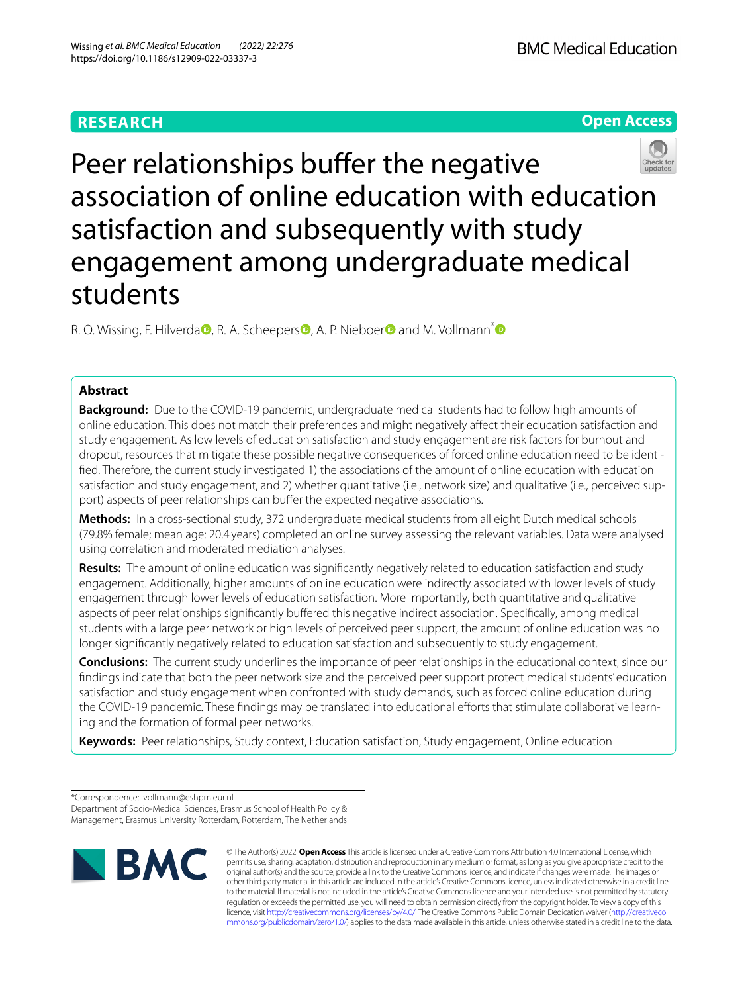# **RESEARCH**

**BMC Medical Education** 

**Open Access**



Peer relationships buffer the negative association of online education with education satisfaction and subsequently with study engagement among undergraduate medical students

R. O. Wissing, F. Hilverd[a](http://orcid.org/0000-0002-7542-4508)<sup>n</sup>[,](http://orcid.org/0000-0001-5750-3686) R. A. Scheepe[r](http://orcid.org/0000-0002-9676-0607)s<sup>n</sup>, A. P. Nieboer<sup>n</sup> and M. Vollmann<sup>[\\*](http://orcid.org/0000-0001-6464-775X)</sup>

# **Abstract**

**Background:** Due to the COVID-19 pandemic, undergraduate medical students had to follow high amounts of online education. This does not match their preferences and might negatively afect their education satisfaction and study engagement. As low levels of education satisfaction and study engagement are risk factors for burnout and dropout, resources that mitigate these possible negative consequences of forced online education need to be identifed. Therefore, the current study investigated 1) the associations of the amount of online education with education satisfaction and study engagement, and 2) whether quantitative (i.e., network size) and qualitative (i.e., perceived support) aspects of peer relationships can buffer the expected negative associations.

**Methods:** In a cross-sectional study, 372 undergraduate medical students from all eight Dutch medical schools (79.8% female; mean age: 20.4 years) completed an online survey assessing the relevant variables. Data were analysed using correlation and moderated mediation analyses.

**Results:** The amount of online education was signifcantly negatively related to education satisfaction and study engagement. Additionally, higher amounts of online education were indirectly associated with lower levels of study engagement through lower levels of education satisfaction. More importantly, both quantitative and qualitative aspects of peer relationships significantly buffered this negative indirect association. Specifically, among medical students with a large peer network or high levels of perceived peer support, the amount of online education was no longer signifcantly negatively related to education satisfaction and subsequently to study engagement.

**Conclusions:** The current study underlines the importance of peer relationships in the educational context, since our fndings indicate that both the peer network size and the perceived peer support protect medical students' education satisfaction and study engagement when confronted with study demands, such as forced online education during the COVID-19 pandemic. These findings may be translated into educational efforts that stimulate collaborative learning and the formation of formal peer networks.

**Keywords:** Peer relationships, Study context, Education satisfaction, Study engagement, Online education

<sup>\*</sup>Correspondence: vollmann@eshpm.eur.nl Department of Socio-Medical Sciences, Erasmus School of Health Policy & Management, Erasmus University Rotterdam, Rotterdam, The Netherlands



© The Author(s) 2022. **Open Access** This article is licensed under a Creative Commons Attribution 4.0 International License, which permits use, sharing, adaptation, distribution and reproduction in any medium or format, as long as you give appropriate credit to the original author(s) and the source, provide a link to the Creative Commons licence, and indicate if changes were made. The images or other third party material in this article are included in the article's Creative Commons licence, unless indicated otherwise in a credit line to the material. If material is not included in the article's Creative Commons licence and your intended use is not permitted by statutory regulation or exceeds the permitted use, you will need to obtain permission directly from the copyright holder. To view a copy of this licence, visit [http://creativecommons.org/licenses/by/4.0/.](http://creativecommons.org/licenses/by/4.0/) The Creative Commons Public Domain Dedication waiver ([http://creativeco](http://creativecommons.org/publicdomain/zero/1.0/) [mmons.org/publicdomain/zero/1.0/](http://creativecommons.org/publicdomain/zero/1.0/)) applies to the data made available in this article, unless otherwise stated in a credit line to the data.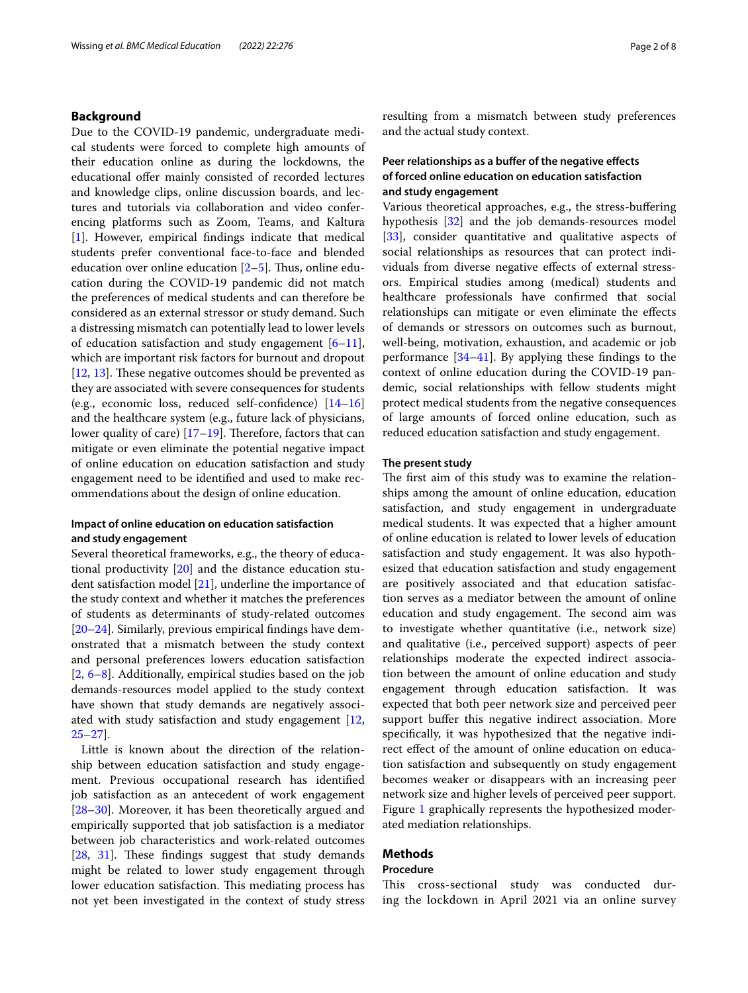## **Background**

Due to the COVID-19 pandemic, undergraduate medical students were forced to complete high amounts of their education online as during the lockdowns, the educational offer mainly consisted of recorded lectures and knowledge clips, online discussion boards, and lectures and tutorials via collaboration and video conferencing platforms such as Zoom, Teams, and Kaltura [[1\]](#page-6-0). However, empirical fndings indicate that medical students prefer conventional face-to-face and blended education over online education  $[2-5]$  $[2-5]$ . Thus, online education during the COVID-19 pandemic did not match the preferences of medical students and can therefore be considered as an external stressor or study demand. Such a distressing mismatch can potentially lead to lower levels of education satisfaction and study engagement  $[6-11]$  $[6-11]$ , which are important risk factors for burnout and dropout  $[12, 13]$  $[12, 13]$  $[12, 13]$  $[12, 13]$ . These negative outcomes should be prevented as they are associated with severe consequences for students (e.g., economic loss, reduced self-confdence) [[14–](#page-6-7)[16](#page-6-8)] and the healthcare system (e.g., future lack of physicians, lower quality of care)  $[17–19]$  $[17–19]$ . Therefore, factors that can mitigate or even eliminate the potential negative impact of online education on education satisfaction and study engagement need to be identifed and used to make recommendations about the design of online education.

# **Impact of online education on education satisfaction and study engagement**

Several theoretical frameworks, e.g., the theory of educational productivity [[20\]](#page-6-11) and the distance education student satisfaction model [[21\]](#page-6-12), underline the importance of the study context and whether it matches the preferences of students as determinants of study-related outcomes [[20–](#page-6-11)[24](#page-6-13)]. Similarly, previous empirical fndings have demonstrated that a mismatch between the study context and personal preferences lowers education satisfaction [[2,](#page-6-1) [6–](#page-6-3)[8\]](#page-6-14). Additionally, empirical studies based on the job demands-resources model applied to the study context have shown that study demands are negatively associated with study satisfaction and study engagement [\[12](#page-6-5), [25–](#page-6-15)[27](#page-6-16)].

Little is known about the direction of the relationship between education satisfaction and study engagement. Previous occupational research has identifed job satisfaction as an antecedent of work engagement [[28–](#page-6-17)[30](#page-6-18)]. Moreover, it has been theoretically argued and empirically supported that job satisfaction is a mediator between job characteristics and work-related outcomes [[28,](#page-6-17) [31\]](#page-6-19). These findings suggest that study demands might be related to lower study engagement through lower education satisfaction. This mediating process has not yet been investigated in the context of study stress resulting from a mismatch between study preferences and the actual study context.

# **Peer relationships as a bufer of the negative efects of forced online education on education satisfaction and study engagement**

Various theoretical approaches, e.g., the stress-bufering hypothesis [\[32](#page-6-20)] and the job demands-resources model [[33\]](#page-6-21), consider quantitative and qualitative aspects of social relationships as resources that can protect individuals from diverse negative efects of external stressors. Empirical studies among (medical) students and healthcare professionals have confrmed that social relationships can mitigate or even eliminate the efects of demands or stressors on outcomes such as burnout, well-being, motivation, exhaustion, and academic or job performance [\[34](#page-6-22)–[41\]](#page-6-23). By applying these fndings to the context of online education during the COVID-19 pandemic, social relationships with fellow students might protect medical students from the negative consequences of large amounts of forced online education, such as reduced education satisfaction and study engagement.

## **The present study**

The first aim of this study was to examine the relationships among the amount of online education, education satisfaction, and study engagement in undergraduate medical students. It was expected that a higher amount of online education is related to lower levels of education satisfaction and study engagement. It was also hypothesized that education satisfaction and study engagement are positively associated and that education satisfaction serves as a mediator between the amount of online education and study engagement. The second aim was to investigate whether quantitative (i.e., network size) and qualitative (i.e., perceived support) aspects of peer relationships moderate the expected indirect association between the amount of online education and study engagement through education satisfaction. It was expected that both peer network size and perceived peer support buffer this negative indirect association. More specifcally, it was hypothesized that the negative indirect efect of the amount of online education on education satisfaction and subsequently on study engagement becomes weaker or disappears with an increasing peer network size and higher levels of perceived peer support. Figure [1](#page-2-0) graphically represents the hypothesized moderated mediation relationships.

# **Methods**

## **Procedure**

This cross-sectional study was conducted during the lockdown in April 2021 via an online survey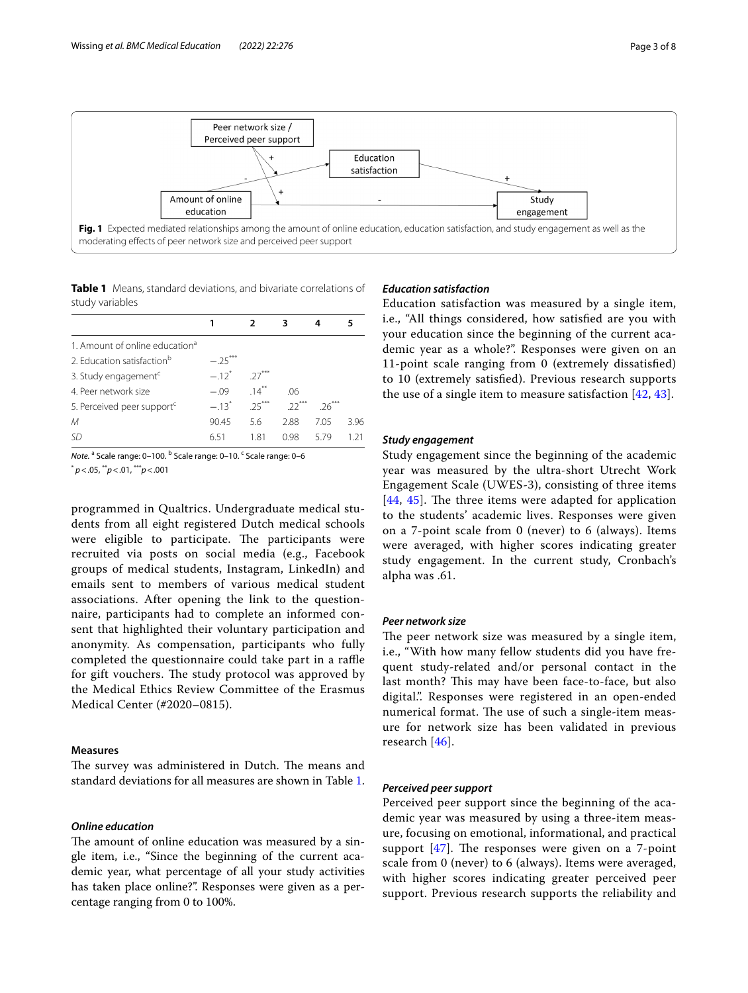



<span id="page-2-1"></span><span id="page-2-0"></span>**Table 1** Means, standard deviations, and bivariate correlations of study variables

| 1. Amount of online education <sup>a</sup> |           |          |         |         |     |
|--------------------------------------------|-----------|----------|---------|---------|-----|
| 2. Education satisfaction <sup>b</sup>     | $-.25***$ |          |         |         |     |
| 3. Study engagement <sup>c</sup>           | $-12^{*}$ | $27***$  |         |         |     |
| 4. Peer network size                       | $-09$     | $14***$  | 06      |         |     |
| 5. Perceived peer support <sup>c</sup>     | $-13^{*}$ | $.25***$ | $22***$ | $26***$ |     |
| М                                          | 90.45     | 5.6      | 2.88    | 705     | 396 |
| SD                                         | 651       | 1.81     | O 98    | 5 79    | 171 |

*Note.* <sup>a</sup> Scale range: 0–100. <sup>b</sup> Scale range: 0–10. <sup>c</sup> Scale range: 0–6 \* *p*<.05, \*\**p*<.01, \*\*\**p*<.001

programmed in Qualtrics. Undergraduate medical students from all eight registered Dutch medical schools were eligible to participate. The participants were recruited via posts on social media (e.g., Facebook groups of medical students, Instagram, LinkedIn) and emails sent to members of various medical student associations. After opening the link to the questionnaire, participants had to complete an informed consent that highlighted their voluntary participation and anonymity. As compensation, participants who fully completed the questionnaire could take part in a raffle for gift vouchers. The study protocol was approved by the Medical Ethics Review Committee of the Erasmus Medical Center (#2020–0815).

## **Measures**

The survey was administered in Dutch. The means and standard deviations for all measures are shown in Table [1](#page-2-1).

## *Online education*

The amount of online education was measured by a single item, i.e., "Since the beginning of the current academic year, what percentage of all your study activities has taken place online?". Responses were given as a percentage ranging from 0 to 100%.

# *Education satisfaction*

Education satisfaction was measured by a single item, i.e., "All things considered, how satisfed are you with your education since the beginning of the current academic year as a whole?". Responses were given on an 11-point scale ranging from 0 (extremely dissatisfed) to 10 (extremely satisfed). Previous research supports the use of a single item to measure satisfaction  $[42, 43]$  $[42, 43]$  $[42, 43]$  $[42, 43]$ .

#### *Study engagement*

Study engagement since the beginning of the academic year was measured by the ultra-short Utrecht Work Engagement Scale (UWES-3), consisting of three items  $[44, 45]$  $[44, 45]$  $[44, 45]$  $[44, 45]$  $[44, 45]$ . The three items were adapted for application to the students' academic lives. Responses were given on a 7-point scale from 0 (never) to 6 (always). Items were averaged, with higher scores indicating greater study engagement. In the current study, Cronbach's alpha was .61.

## *Peer network size*

The peer network size was measured by a single item, i.e., "With how many fellow students did you have frequent study-related and/or personal contact in the last month? This may have been face-to-face, but also digital.". Responses were registered in an open-ended numerical format. The use of such a single-item measure for network size has been validated in previous research [\[46](#page-7-2)].

## *Perceived peer support*

Perceived peer support since the beginning of the academic year was measured by using a three-item measure, focusing on emotional, informational, and practical support  $[47]$ . The responses were given on a 7-point scale from 0 (never) to 6 (always). Items were averaged, with higher scores indicating greater perceived peer support. Previous research supports the reliability and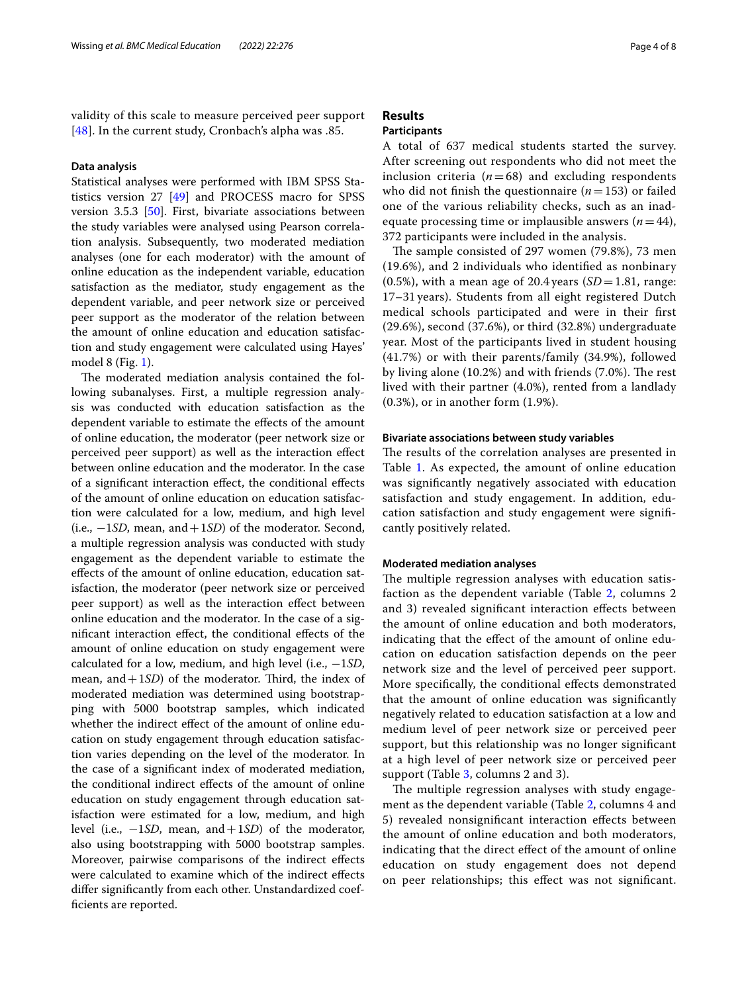validity of this scale to measure perceived peer support [[48](#page-7-4)]. In the current study, Cronbach's alpha was .85.

### **Data analysis**

Statistical analyses were performed with IBM SPSS Statistics version 27 [[49\]](#page-7-5) and PROCESS macro for SPSS version 3.5.3 [[50\]](#page-7-6). First, bivariate associations between the study variables were analysed using Pearson correlation analysis. Subsequently, two moderated mediation analyses (one for each moderator) with the amount of online education as the independent variable, education satisfaction as the mediator, study engagement as the dependent variable, and peer network size or perceived peer support as the moderator of the relation between the amount of online education and education satisfaction and study engagement were calculated using Hayes' model 8 (Fig. [1](#page-2-0)).

The moderated mediation analysis contained the following subanalyses. First, a multiple regression analysis was conducted with education satisfaction as the dependent variable to estimate the efects of the amount of online education, the moderator (peer network size or perceived peer support) as well as the interaction efect between online education and the moderator. In the case of a signifcant interaction efect, the conditional efects of the amount of online education on education satisfaction were calculated for a low, medium, and high level (i.e., −1*SD*, mean, and+1*SD*) of the moderator. Second, a multiple regression analysis was conducted with study engagement as the dependent variable to estimate the efects of the amount of online education, education satisfaction, the moderator (peer network size or perceived peer support) as well as the interaction efect between online education and the moderator. In the case of a signifcant interaction efect, the conditional efects of the amount of online education on study engagement were calculated for a low, medium, and high level (i.e., −1*SD*, mean, and  $+1SD$ ) of the moderator. Third, the index of moderated mediation was determined using bootstrapping with 5000 bootstrap samples, which indicated whether the indirect effect of the amount of online education on study engagement through education satisfaction varies depending on the level of the moderator. In the case of a signifcant index of moderated mediation, the conditional indirect efects of the amount of online education on study engagement through education satisfaction were estimated for a low, medium, and high level (i.e., −1*SD*, mean, and+1*SD*) of the moderator, also using bootstrapping with 5000 bootstrap samples. Moreover, pairwise comparisons of the indirect efects were calculated to examine which of the indirect efects difer signifcantly from each other. Unstandardized coeffcients are reported.

# **Results**

# **Participants**

A total of 637 medical students started the survey. After screening out respondents who did not meet the inclusion criteria  $(n=68)$  and excluding respondents who did not finish the questionnaire  $(n=153)$  or failed one of the various reliability checks, such as an inadequate processing time or implausible answers  $(n=44)$ , 372 participants were included in the analysis.

The sample consisted of 297 women (79.8%), 73 men (19.6%), and 2 individuals who identifed as nonbinary  $(0.5\%)$ , with a mean age of 20.4 years  $(SD=1.81, \text{ range})$ . 17–31 years). Students from all eight registered Dutch medical schools participated and were in their frst (29.6%), second (37.6%), or third (32.8%) undergraduate year. Most of the participants lived in student housing (41.7%) or with their parents/family (34.9%), followed by living alone  $(10.2%)$  and with friends  $(7.0%)$ . The rest lived with their partner (4.0%), rented from a landlady (0.3%), or in another form (1.9%).

# **Bivariate associations between study variables**

The results of the correlation analyses are presented in Table [1](#page-2-1). As expected, the amount of online education was signifcantly negatively associated with education satisfaction and study engagement. In addition, education satisfaction and study engagement were signifcantly positively related.

#### **Moderated mediation analyses**

The multiple regression analyses with education satisfaction as the dependent variable (Table [2](#page-4-0), columns 2 and 3) revealed signifcant interaction efects between the amount of online education and both moderators, indicating that the efect of the amount of online education on education satisfaction depends on the peer network size and the level of perceived peer support. More specifcally, the conditional efects demonstrated that the amount of online education was signifcantly negatively related to education satisfaction at a low and medium level of peer network size or perceived peer support, but this relationship was no longer signifcant at a high level of peer network size or perceived peer support (Table [3](#page-4-1), columns 2 and 3).

The multiple regression analyses with study engagement as the dependent variable (Table [2,](#page-4-0) columns 4 and 5) revealed nonsignifcant interaction efects between the amount of online education and both moderators, indicating that the direct efect of the amount of online education on study engagement does not depend on peer relationships; this efect was not signifcant.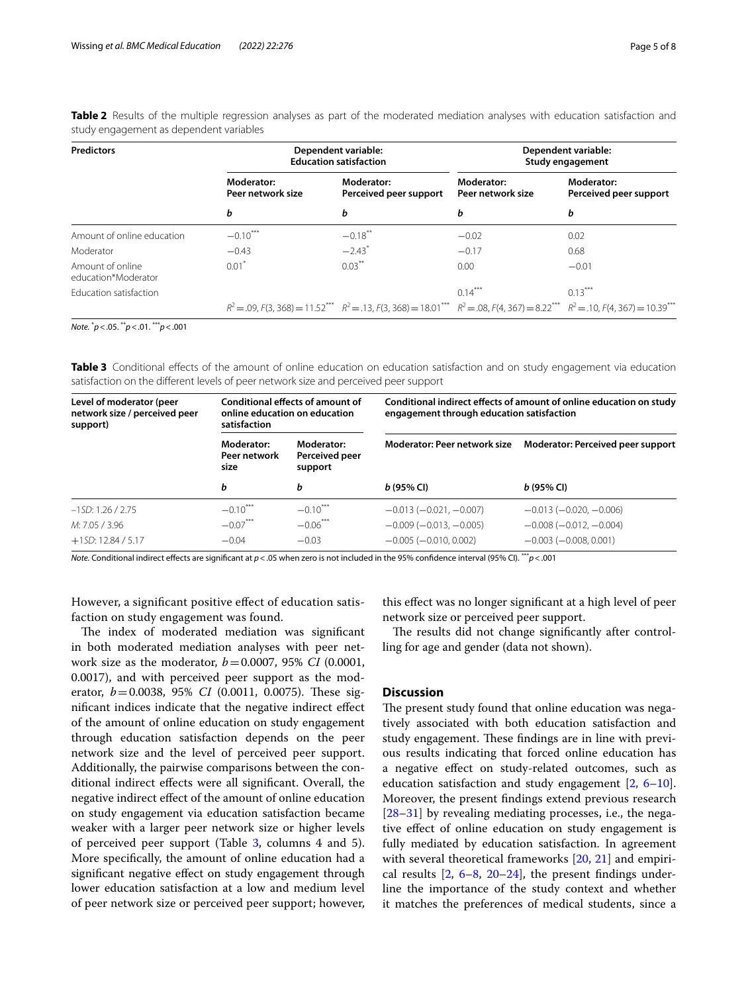| <b>Predictors</b>                       |                                 | Dependent variable:<br><b>Education satisfaction</b>                                                                                               | Dependent variable:<br>Study engagement |                                      |  |
|-----------------------------------------|---------------------------------|----------------------------------------------------------------------------------------------------------------------------------------------------|-----------------------------------------|--------------------------------------|--|
|                                         | Moderator:<br>Peer network size | Moderator:<br>Perceived peer support                                                                                                               | Moderator:<br>Peer network size         | Moderator:<br>Perceived peer support |  |
|                                         | b                               | b                                                                                                                                                  | b                                       | b                                    |  |
| Amount of online education              | $-0.10***$                      | $-0.18$ **                                                                                                                                         | $-0.02$                                 | 0.02                                 |  |
| Moderator                               | $-0.43$                         | $-2.43$ <sup>*</sup>                                                                                                                               | $-0.17$                                 | 0.68                                 |  |
| Amount of online<br>education*Moderator | 0.01'                           | $0.03***$                                                                                                                                          | 0.00                                    | $-0.01$                              |  |
| <b>Education satisfaction</b>           |                                 |                                                                                                                                                    | $0.14***$                               | $0.13***$                            |  |
|                                         |                                 | $R^2 = .09$ , $F(3, 368) = 11.52$ $R^2 = .13$ , $F(3, 368) = 18.01$ $R^2 = .08$ , $F(4, 367) = 8.22$ $R^2 = .10$ , $F(4, 367) = 10.39$ $R^2 = .09$ |                                         |                                      |  |

<span id="page-4-0"></span>**Table 2** Results of the multiple regression analyses as part of the moderated mediation analyses with education satisfaction and study engagement as dependent variables

*Note.* \* *p*<.05. \*\**p*<.01. \*\*\**p*<.001

<span id="page-4-1"></span>**Table 3** Conditional effects of the amount of online education on education satisfaction and on study engagement via education satisfaction on the diferent levels of peer network size and perceived peer support

| Level of moderator (peer<br>network size / perceived peer<br>support) | Conditional effects of amount of<br>online education on education<br>satisfaction |                                         | Conditional indirect effects of amount of online education on study<br>engagement through education satisfaction |                                   |  |
|-----------------------------------------------------------------------|-----------------------------------------------------------------------------------|-----------------------------------------|------------------------------------------------------------------------------------------------------------------|-----------------------------------|--|
|                                                                       | Moderator:<br>Peer network<br>size                                                | Moderator:<br>Perceived peer<br>support | Moderator: Peer network size                                                                                     | Moderator: Perceived peer support |  |
|                                                                       | b                                                                                 | b                                       | $b(95%$ CI)                                                                                                      | $b(95%$ CI)                       |  |
| $-1SD: 1.26 / 2.75$                                                   | $-0.10***$                                                                        | $-0.10$ <sup>***</sup>                  | $-0.013(-0.021,-0.007)$                                                                                          | $-0.013(-0.020,-0.006)$           |  |
| M: 7.05 / 3.96                                                        | $-0.07***$                                                                        | $-0.06***$                              | $-0.009(-0.013,-0.005)$                                                                                          | $-0.008$ ( $-0.012$ , $-0.004$ )  |  |
| $+1SD: 12.84 / 5.17$                                                  | $-0.04$                                                                           | $-0.03$                                 | $-0.005(-0.010, 0.002)$                                                                                          | $-0.003(-0.008, 0.001)$           |  |

*Note.* Conditional indirect efects are signifcant at *p*<.05 when zero is not included in the 95% confdence interval (95% CI). \*\*\**p*<.001

However, a signifcant positive efect of education satisfaction on study engagement was found.

The index of moderated mediation was significant in both moderated mediation analyses with peer network size as the moderator, *b*=0.0007, 95% *CI* (0.0001, 0.0017), and with perceived peer support as the moderator, *b*=0.0038, 95% *CI* (0.0011, 0.0075). These signifcant indices indicate that the negative indirect efect of the amount of online education on study engagement through education satisfaction depends on the peer network size and the level of perceived peer support. Additionally, the pairwise comparisons between the conditional indirect efects were all signifcant. Overall, the negative indirect efect of the amount of online education on study engagement via education satisfaction became weaker with a larger peer network size or higher levels of perceived peer support (Table [3](#page-4-1), columns 4 and 5). More specifcally, the amount of online education had a signifcant negative efect on study engagement through lower education satisfaction at a low and medium level of peer network size or perceived peer support; however,

this efect was no longer signifcant at a high level of peer network size or perceived peer support.

The results did not change significantly after controlling for age and gender (data not shown).

### **Discussion**

The present study found that online education was negatively associated with both education satisfaction and study engagement. These findings are in line with previous results indicating that forced online education has a negative efect on study-related outcomes, such as education satisfaction and study engagement  $[2, 6-10]$  $[2, 6-10]$  $[2, 6-10]$  $[2, 6-10]$ . Moreover, the present fndings extend previous research [[28–](#page-6-17)[31\]](#page-6-19) by revealing mediating processes, i.e., the negative efect of online education on study engagement is fully mediated by education satisfaction. In agreement with several theoretical frameworks [[20,](#page-6-11) [21\]](#page-6-12) and empirical results  $[2, 6-8, 20-24]$  $[2, 6-8, 20-24]$  $[2, 6-8, 20-24]$  $[2, 6-8, 20-24]$  $[2, 6-8, 20-24]$  $[2, 6-8, 20-24]$  $[2, 6-8, 20-24]$ , the present findings underline the importance of the study context and whether it matches the preferences of medical students, since a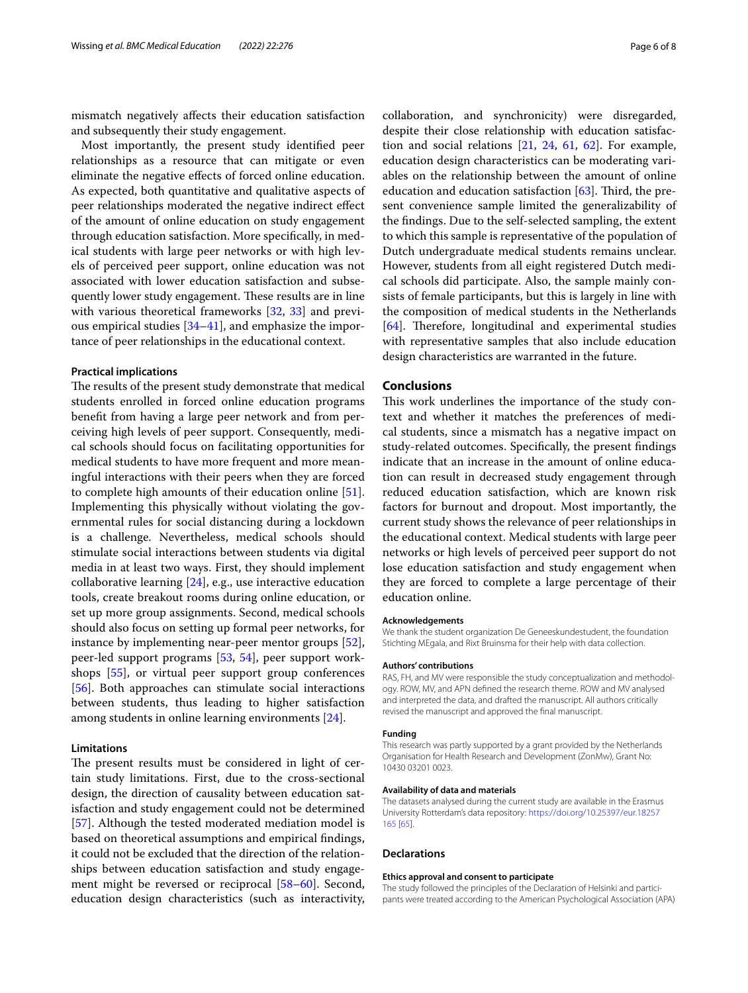mismatch negatively afects their education satisfaction and subsequently their study engagement.

Most importantly, the present study identifed peer relationships as a resource that can mitigate or even eliminate the negative efects of forced online education. As expected, both quantitative and qualitative aspects of peer relationships moderated the negative indirect efect of the amount of online education on study engagement through education satisfaction. More specifcally, in medical students with large peer networks or with high levels of perceived peer support, online education was not associated with lower education satisfaction and subsequently lower study engagement. These results are in line with various theoretical frameworks [\[32,](#page-6-20) [33\]](#page-6-21) and previous empirical studies [\[34–](#page-6-22)[41\]](#page-6-23), and emphasize the importance of peer relationships in the educational context.

#### **Practical implications**

The results of the present study demonstrate that medical students enrolled in forced online education programs beneft from having a large peer network and from perceiving high levels of peer support. Consequently, medical schools should focus on facilitating opportunities for medical students to have more frequent and more meaningful interactions with their peers when they are forced to complete high amounts of their education online [\[51](#page-7-7)]. Implementing this physically without violating the governmental rules for social distancing during a lockdown is a challenge. Nevertheless, medical schools should stimulate social interactions between students via digital media in at least two ways. First, they should implement collaborative learning [\[24](#page-6-13)], e.g., use interactive education tools, create breakout rooms during online education, or set up more group assignments. Second, medical schools should also focus on setting up formal peer networks, for instance by implementing near-peer mentor groups [\[52](#page-7-8)], peer-led support programs [\[53](#page-7-9), [54\]](#page-7-10), peer support workshops [\[55\]](#page-7-11), or virtual peer support group conferences [[56\]](#page-7-12). Both approaches can stimulate social interactions between students, thus leading to higher satisfaction among students in online learning environments [\[24](#page-6-13)].

#### **Limitations**

The present results must be considered in light of certain study limitations. First, due to the cross-sectional design, the direction of causality between education satisfaction and study engagement could not be determined [[57\]](#page-7-13). Although the tested moderated mediation model is based on theoretical assumptions and empirical fndings, it could not be excluded that the direction of the relationships between education satisfaction and study engagement might be reversed or reciprocal [\[58](#page-7-14)[–60\]](#page-7-15). Second, education design characteristics (such as interactivity, collaboration, and synchronicity) were disregarded, despite their close relationship with education satisfaction and social relations [\[21](#page-6-12), [24,](#page-6-13) [61](#page-7-16), [62](#page-7-17)]. For example, education design characteristics can be moderating variables on the relationship between the amount of online education and education satisfaction  $[63]$  $[63]$ . Third, the present convenience sample limited the generalizability of the fndings. Due to the self-selected sampling, the extent to which this sample is representative of the population of Dutch undergraduate medical students remains unclear. However, students from all eight registered Dutch medical schools did participate. Also, the sample mainly consists of female participants, but this is largely in line with the composition of medical students in the Netherlands [[64\]](#page-7-19). Therefore, longitudinal and experimental studies with representative samples that also include education design characteristics are warranted in the future.

#### **Conclusions**

This work underlines the importance of the study context and whether it matches the preferences of medical students, since a mismatch has a negative impact on study-related outcomes. Specifcally, the present fndings indicate that an increase in the amount of online education can result in decreased study engagement through reduced education satisfaction, which are known risk factors for burnout and dropout. Most importantly, the current study shows the relevance of peer relationships in the educational context. Medical students with large peer networks or high levels of perceived peer support do not lose education satisfaction and study engagement when they are forced to complete a large percentage of their education online.

#### **Acknowledgements**

We thank the student organization De Geneeskundestudent, the foundation Stichting MEgala, and Rixt Bruinsma for their help with data collection.

#### **Authors' contributions**

RAS, FH, and MV were responsible the study conceptualization and methodology. ROW, MV, and APN defned the research theme. ROW and MV analysed and interpreted the data, and drafted the manuscript. All authors critically revised the manuscript and approved the fnal manuscript.

#### **Funding**

This research was partly supported by a grant provided by the Netherlands Organisation for Health Research and Development (ZonMw), Grant No: 10430 03201 0023.

#### **Availability of data and materials**

The datasets analysed during the current study are available in the Erasmus University Rotterdam's data repository: [https://doi.org/10.25397/eur.18257](https://doi.org/10.25397/eur.18257165) [165](https://doi.org/10.25397/eur.18257165) [\[65\]](#page-7-20).

#### **Declarations**

#### **Ethics approval and consent to participate**

The study followed the principles of the Declaration of Helsinki and participants were treated according to the American Psychological Association (APA)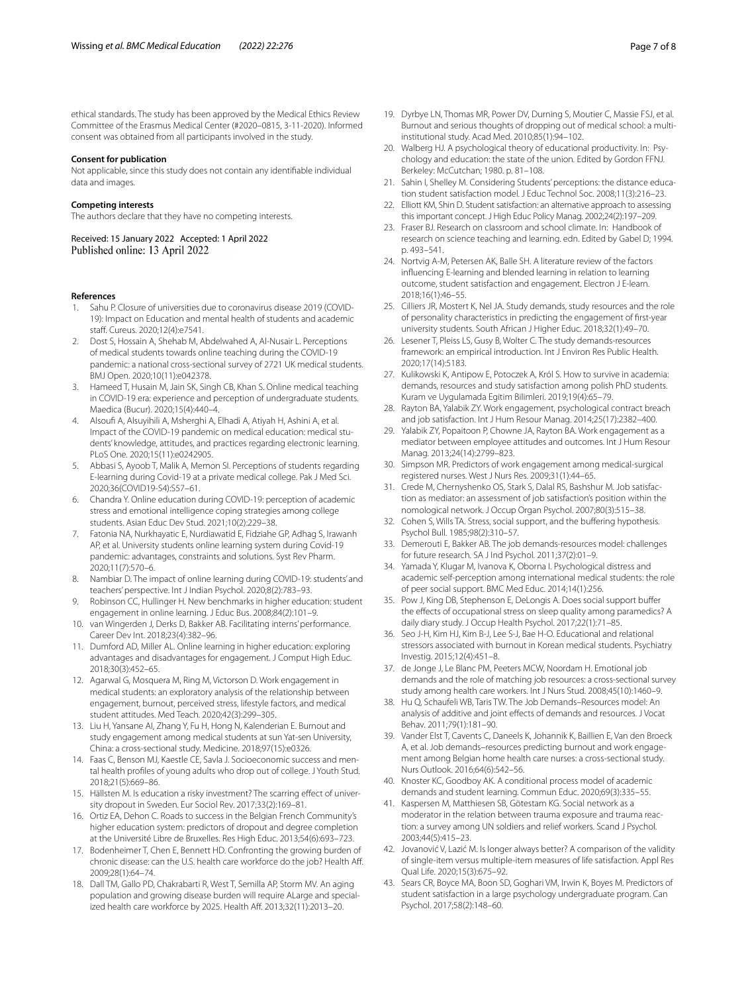ethical standards. The study has been approved by the Medical Ethics Review Committee of the Erasmus Medical Center (#2020–0815, 3-11-2020). Informed consent was obtained from all participants involved in the study.

#### **Consent for publication**

Not applicable, since this study does not contain any identifable individual data and images.

#### **Competing interests**

The authors declare that they have no competing interests.

Received: 15 January 2022 Accepted: 1 April 2022 Published online: 13 April 2022

#### **References**

- <span id="page-6-0"></span>1. Sahu P. Closure of universities due to coronavirus disease 2019 (COVID-19): Impact on Education and mental health of students and academic staff. Cureus. 2020;12(4):e7541.
- <span id="page-6-1"></span>2. Dost S, Hossain A, Shehab M, Abdelwahed A, Al-Nusair L. Perceptions of medical students towards online teaching during the COVID-19 pandemic: a national cross-sectional survey of 2721 UK medical students. BMJ Open. 2020;10(11):e042378.
- 3. Hameed T, Husain M, Jain SK, Singh CB, Khan S. Online medical teaching in COVID-19 era: experience and perception of undergraduate students. Maedica (Bucur). 2020;15(4):440–4.
- 4. Alsouf A, Alsuyihili A, Msherghi A, Elhadi A, Atiyah H, Ashini A, et al. Impact of the COVID-19 pandemic on medical education: medical students' knowledge, attitudes, and practices regarding electronic learning. PLoS One. 2020;15(11):e0242905.
- <span id="page-6-2"></span>5. Abbasi S, Ayoob T, Malik A, Memon SI. Perceptions of students regarding E-learning during Covid-19 at a private medical college. Pak J Med Sci. 2020;36(COVID19-S4):S57–61.
- <span id="page-6-3"></span>6. Chandra Y. Online education during COVID-19: perception of academic stress and emotional intelligence coping strategies among college students. Asian Educ Dev Stud. 2021;10(2):229–38.
- 7. Fatonia NA, Nurkhayatic E, Nurdiawatid E, Fidziahe GP, Adhag S, Irawanh AP, et al. University students online learning system during Covid-19 pandemic: advantages, constraints and solutions. Syst Rev Pharm. 2020;11(7):570–6.
- <span id="page-6-14"></span>8. Nambiar D. The impact of online learning during COVID-19: students' and teachers' perspective. Int J Indian Psychol. 2020;8(2):783–93.
- 9. Robinson CC, Hullinger H. New benchmarks in higher education: student engagement in online learning. J Educ Bus. 2008;84(2):101–9.
- <span id="page-6-26"></span>10. van Wingerden J, Derks D, Bakker AB. Facilitating interns' performance. Career Dev Int. 2018;23(4):382–96.
- <span id="page-6-4"></span>11. Dumford AD, Miller AL. Online learning in higher education: exploring advantages and disadvantages for engagement. J Comput High Educ. 2018;30(3):452–65.
- <span id="page-6-5"></span>12. Agarwal G, Mosquera M, Ring M, Victorson D. Work engagement in medical students: an exploratory analysis of the relationship between engagement, burnout, perceived stress, lifestyle factors, and medical student attitudes. Med Teach. 2020;42(3):299–305.
- <span id="page-6-6"></span>13. Liu H, Yansane AI, Zhang Y, Fu H, Hong N, Kalenderian E. Burnout and study engagement among medical students at sun Yat-sen University, China: a cross-sectional study. Medicine. 2018;97(15):e0326.
- <span id="page-6-7"></span>14. Faas C, Benson MJ, Kaestle CE, Savla J. Socioeconomic success and mental health profles of young adults who drop out of college. J Youth Stud. 2018;21(5):669–86.
- 15. Hällsten M. Is education a risky investment? The scarring efect of university dropout in Sweden. Eur Sociol Rev. 2017;33(2):169–81.
- <span id="page-6-8"></span>16. Ortiz EA, Dehon C. Roads to success in the Belgian French Community's higher education system: predictors of dropout and degree completion at the Université Libre de Bruxelles. Res High Educ. 2013;54(6):693–723.
- <span id="page-6-9"></span>17. Bodenheimer T, Chen E, Bennett HD. Confronting the growing burden of chronic disease: can the U.S. health care workforce do the job? Health Af. 2009;28(1):64–74.
- 18. Dall TM, Gallo PD, Chakrabarti R, West T, Semilla AP, Storm MV. An aging population and growing disease burden will require ALarge and specialized health care workforce by 2025. Health Af. 2013;32(11):2013–20.
- <span id="page-6-10"></span>19. Dyrbye LN, Thomas MR, Power DV, Durning S, Moutier C, Massie FSJ, et al. Burnout and serious thoughts of dropping out of medical school: a multiinstitutional study. Acad Med. 2010;85(1):94–102.
- <span id="page-6-11"></span>20. Walberg HJ. A psychological theory of educational productivity. In: Psychology and education: the state of the union*.* Edited by Gordon FFNJ. Berkeley: McCutchan; 1980. p. 81–108.
- <span id="page-6-12"></span>21. Sahin I, Shelley M. Considering Students' perceptions: the distance education student satisfaction model. J Educ Technol Soc. 2008;11(3):216–23.
- 22. Elliott KM, Shin D. Student satisfaction: an alternative approach to assessing this important concept. J High Educ Policy Manag. 2002;24(2):197–209.
- 23. Fraser BJ. Research on classroom and school climate. In: Handbook of research on science teaching and learning. edn. Edited by Gabel D; 1994. p. 493–541.
- <span id="page-6-13"></span>24. Nortvig A-M, Petersen AK, Balle SH. A literature review of the factors infuencing E-learning and blended learning in relation to learning outcome, student satisfaction and engagement. Electron J E-learn. 2018;16(1):46–55.
- <span id="page-6-15"></span>25. Cilliers JR, Mostert K, Nel JA. Study demands, study resources and the role of personality characteristics in predicting the engagement of frst-year university students. South African J Higher Educ. 2018;32(1):49–70.
- 26. Lesener T, Pleiss LS, Gusy B, Wolter C. The study demands-resources framework: an empirical introduction. Int J Environ Res Public Health. 2020;17(14):5183.
- <span id="page-6-16"></span>27. Kulikowski K, Antipow E, Potoczek A, Król S. How to survive in academia: demands, resources and study satisfaction among polish PhD students. Kuram ve Uygulamada Egitim Bilimleri. 2019;19(4):65–79.
- <span id="page-6-17"></span>28. Rayton BA, Yalabik ZY. Work engagement, psychological contract breach and job satisfaction. Int J Hum Resour Manag. 2014;25(17):2382–400.
- 29. Yalabik ZY, Popaitoon P, Chowne JA, Rayton BA. Work engagement as a mediator between employee attitudes and outcomes. Int J Hum Resour Manag. 2013;24(14):2799–823.
- <span id="page-6-18"></span>30. Simpson MR. Predictors of work engagement among medical-surgical registered nurses. West J Nurs Res. 2009;31(1):44–65.
- <span id="page-6-19"></span>31. Crede M, Chernyshenko OS, Stark S, Dalal RS, Bashshur M. Job satisfaction as mediator: an assessment of job satisfaction's position within the nomological network. J Occup Organ Psychol. 2007;80(3):515–38.
- <span id="page-6-20"></span>32. Cohen S, Wills TA. Stress, social support, and the buffering hypothesis. Psychol Bull. 1985;98(2):310–57.
- <span id="page-6-21"></span>33. Demerouti E, Bakker AB. The job demands-resources model: challenges for future research. SA J Ind Psychol. 2011;37(2):01–9.
- <span id="page-6-22"></span>34. Yamada Y, Klugar M, Ivanova K, Oborna I. Psychological distress and academic self-perception among international medical students: the role of peer social support. BMC Med Educ. 2014;14(1):256.
- 35. Pow J, King DB, Stephenson E, DeLongis A. Does social support bufer the effects of occupational stress on sleep quality among paramedics? A daily diary study. J Occup Health Psychol. 2017;22(1):71–85.
- 36. Seo J-H, Kim HJ, Kim B-J, Lee S-J, Bae H-O. Educational and relational stressors associated with burnout in Korean medical students. Psychiatry Investig. 2015;12(4):451–8.
- 37. de Jonge J, Le Blanc PM, Peeters MCW, Noordam H. Emotional job demands and the role of matching job resources: a cross-sectional survey study among health care workers. Int J Nurs Stud. 2008;45(10):1460–9.
- 38. Hu Q, Schaufeli WB, Taris TW. The Job Demands–Resources model: An analysis of additive and joint efects of demands and resources. J Vocat Behav. 2011;79(1):181–90.
- 39. Vander Elst T, Cavents C, Daneels K, Johannik K, Baillien E, Van den Broeck A, et al. Job demands–resources predicting burnout and work engagement among Belgian home health care nurses: a cross-sectional study. Nurs Outlook. 2016;64(6):542–56.
- 40. Knoster KC, Goodboy AK. A conditional process model of academic demands and student learning. Commun Educ. 2020;69(3):335–55.
- <span id="page-6-23"></span>41. Kaspersen M, Matthiesen SB, Götestam KG. Social network as a moderator in the relation between trauma exposure and trauma reaction: a survey among UN soldiers and relief workers. Scand J Psychol. 2003;44(5):415–23.
- <span id="page-6-24"></span>42. Jovanović V, Lazić M. Is longer always better? A comparison of the validity of single-item versus multiple-item measures of life satisfaction. Appl Res Qual Life. 2020;15(3):675–92.
- <span id="page-6-25"></span>43. Sears CR, Boyce MA, Boon SD, Goghari VM, Irwin K, Boyes M. Predictors of student satisfaction in a large psychology undergraduate program. Can Psychol. 2017;58(2):148–60.